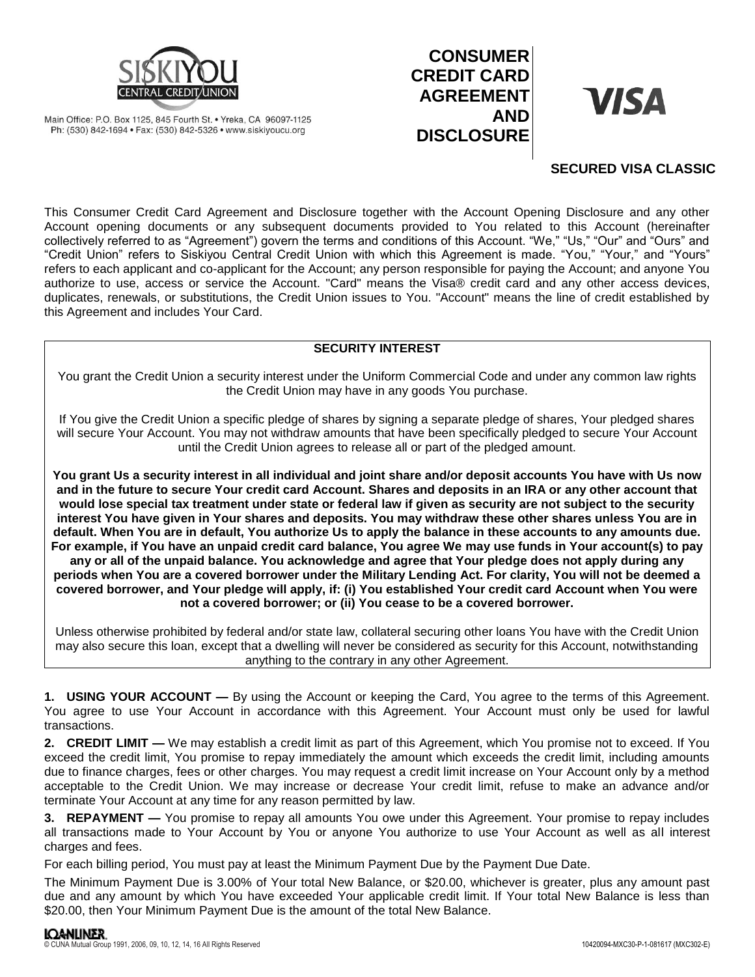

Main Office: P.O. Box 1125, 845 Fourth St. • Yreka, CA 96097-1125 Ph: (530) 842-1694 · Fax: (530) 842-5326 · www.siskiyoucu.org

# **CONSUMER CREDIT CARD AGREEMENT AND DISCLOSURE**

# **VISA**

## **SECURED VISA CLASSIC**

This Consumer Credit Card Agreement and Disclosure together with the Account Opening Disclosure and any other Account opening documents or any subsequent documents provided to You related to this Account (hereinafter collectively referred to as "Agreement") govern the terms and conditions of this Account. "We," "Us," "Our" and "Ours" and "Credit Union" refers to Siskiyou Central Credit Union with which this Agreement is made. "You," "Your," and "Yours" refers to each applicant and co-applicant for the Account; any person responsible for paying the Account; and anyone You authorize to use, access or service the Account. "Card" means the Visa® credit card and any other access devices, duplicates, renewals, or substitutions, the Credit Union issues to You. "Account" means the line of credit established by this Agreement and includes Your Card.

### **SECURITY INTEREST**

You grant the Credit Union a security interest under the Uniform Commercial Code and under any common law rights the Credit Union may have in any goods You purchase.

If You give the Credit Union a specific pledge of shares by signing a separate pledge of shares, Your pledged shares will secure Your Account. You may not withdraw amounts that have been specifically pledged to secure Your Account until the Credit Union agrees to release all or part of the pledged amount.

**You grant Us a security interest in all individual and joint share and/or deposit accounts You have with Us now and in the future to secure Your credit card Account. Shares and deposits in an IRA or any other account that would lose special tax treatment under state or federal law if given as security are not subject to the security interest You have given in Your shares and deposits. You may withdraw these other shares unless You are in default. When You are in default, You authorize Us to apply the balance in these accounts to any amounts due. For example, if You have an unpaid credit card balance, You agree We may use funds in Your account(s) to pay any or all of the unpaid balance. You acknowledge and agree that Your pledge does not apply during any periods when You are a covered borrower under the Military Lending Act. For clarity, You will not be deemed a covered borrower, and Your pledge will apply, if: (i) You established Your credit card Account when You were not a covered borrower; or (ii) You cease to be a covered borrower.**

Unless otherwise prohibited by federal and/or state law, collateral securing other loans You have with the Credit Union may also secure this loan, except that a dwelling will never be considered as security for this Account, notwithstanding anything to the contrary in any other Agreement.

**1. USING YOUR ACCOUNT —** By using the Account or keeping the Card, You agree to the terms of this Agreement. You agree to use Your Account in accordance with this Agreement. Your Account must only be used for lawful transactions.

**2. CREDIT LIMIT —** We may establish a credit limit as part of this Agreement, which You promise not to exceed. If You exceed the credit limit, You promise to repay immediately the amount which exceeds the credit limit, including amounts due to finance charges, fees or other charges. You may request a credit limit increase on Your Account only by a method acceptable to the Credit Union. We may increase or decrease Your credit limit, refuse to make an advance and/or terminate Your Account at any time for any reason permitted by law.

**3. REPAYMENT —** You promise to repay all amounts You owe under this Agreement. Your promise to repay includes all transactions made to Your Account by You or anyone You authorize to use Your Account as well as all interest charges and fees.

For each billing period, You must pay at least the Minimum Payment Due by the Payment Due Date.

The Minimum Payment Due is 3.00% of Your total New Balance, or \$20.00, whichever is greater, plus any amount past due and any amount by which You have exceeded Your applicable credit limit. If Your total New Balance is less than \$20.00, then Your Minimum Payment Due is the amount of the total New Balance.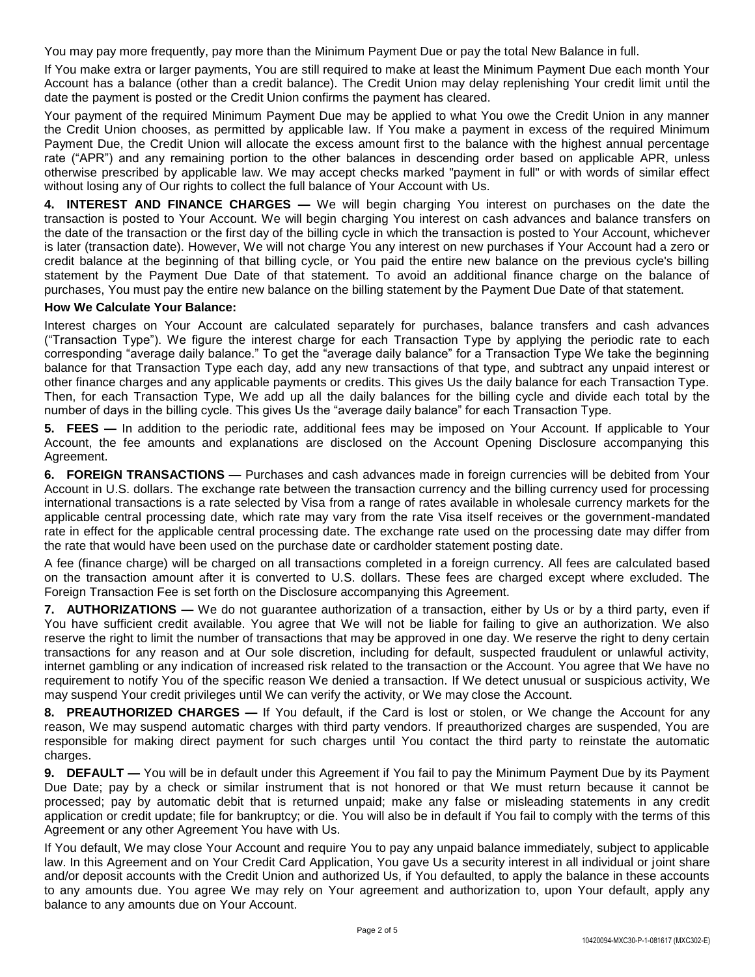You may pay more frequently, pay more than the Minimum Payment Due or pay the total New Balance in full.

If You make extra or larger payments, You are still required to make at least the Minimum Payment Due each month Your Account has a balance (other than a credit balance). The Credit Union may delay replenishing Your credit limit until the date the payment is posted or the Credit Union confirms the payment has cleared.

Your payment of the required Minimum Payment Due may be applied to what You owe the Credit Union in any manner the Credit Union chooses, as permitted by applicable law. If You make a payment in excess of the required Minimum Payment Due, the Credit Union will allocate the excess amount first to the balance with the highest annual percentage rate ("APR") and any remaining portion to the other balances in descending order based on applicable APR, unless otherwise prescribed by applicable law. We may accept checks marked "payment in full" or with words of similar effect without losing any of Our rights to collect the full balance of Your Account with Us.

**4. INTEREST AND FINANCE CHARGES —** We will begin charging You interest on purchases on the date the transaction is posted to Your Account. We will begin charging You interest on cash advances and balance transfers on the date of the transaction or the first day of the billing cycle in which the transaction is posted to Your Account, whichever is later (transaction date). However, We will not charge You any interest on new purchases if Your Account had a zero or credit balance at the beginning of that billing cycle, or You paid the entire new balance on the previous cycle's billing statement by the Payment Due Date of that statement. To avoid an additional finance charge on the balance of purchases, You must pay the entire new balance on the billing statement by the Payment Due Date of that statement.

#### **How We Calculate Your Balance:**

Interest charges on Your Account are calculated separately for purchases, balance transfers and cash advances ("Transaction Type"). We figure the interest charge for each Transaction Type by applying the periodic rate to each corresponding "average daily balance." To get the "average daily balance" for a Transaction Type We take the beginning balance for that Transaction Type each day, add any new transactions of that type, and subtract any unpaid interest or other finance charges and any applicable payments or credits. This gives Us the daily balance for each Transaction Type. Then, for each Transaction Type, We add up all the daily balances for the billing cycle and divide each total by the number of days in the billing cycle. This gives Us the "average daily balance" for each Transaction Type.

**5. FEES —** In addition to the periodic rate, additional fees may be imposed on Your Account. If applicable to Your Account, the fee amounts and explanations are disclosed on the Account Opening Disclosure accompanying this Agreement.

**6. FOREIGN TRANSACTIONS —** Purchases and cash advances made in foreign currencies will be debited from Your Account in U.S. dollars. The exchange rate between the transaction currency and the billing currency used for processing international transactions is a rate selected by Visa from a range of rates available in wholesale currency markets for the applicable central processing date, which rate may vary from the rate Visa itself receives or the government-mandated rate in effect for the applicable central processing date. The exchange rate used on the processing date may differ from the rate that would have been used on the purchase date or cardholder statement posting date.

A fee (finance charge) will be charged on all transactions completed in a foreign currency. All fees are calculated based on the transaction amount after it is converted to U.S. dollars. These fees are charged except where excluded. The Foreign Transaction Fee is set forth on the Disclosure accompanying this Agreement.

**7. AUTHORIZATIONS —** We do not guarantee authorization of a transaction, either by Us or by a third party, even if You have sufficient credit available. You agree that We will not be liable for failing to give an authorization. We also reserve the right to limit the number of transactions that may be approved in one day. We reserve the right to deny certain transactions for any reason and at Our sole discretion, including for default, suspected fraudulent or unlawful activity, internet gambling or any indication of increased risk related to the transaction or the Account. You agree that We have no requirement to notify You of the specific reason We denied a transaction. If We detect unusual or suspicious activity, We may suspend Your credit privileges until We can verify the activity, or We may close the Account.

**8. PREAUTHORIZED CHARGES —** If You default, if the Card is lost or stolen, or We change the Account for any reason, We may suspend automatic charges with third party vendors. If preauthorized charges are suspended, You are responsible for making direct payment for such charges until You contact the third party to reinstate the automatic charges.

**9. DEFAULT —** You will be in default under this Agreement if You fail to pay the Minimum Payment Due by its Payment Due Date; pay by a check or similar instrument that is not honored or that We must return because it cannot be processed; pay by automatic debit that is returned unpaid; make any false or misleading statements in any credit application or credit update; file for bankruptcy; or die. You will also be in default if You fail to comply with the terms of this Agreement or any other Agreement You have with Us.

If You default, We may close Your Account and require You to pay any unpaid balance immediately, subject to applicable law. In this Agreement and on Your Credit Card Application, You gave Us a security interest in all individual or joint share and/or deposit accounts with the Credit Union and authorized Us, if You defaulted, to apply the balance in these accounts to any amounts due. You agree We may rely on Your agreement and authorization to, upon Your default, apply any balance to any amounts due on Your Account.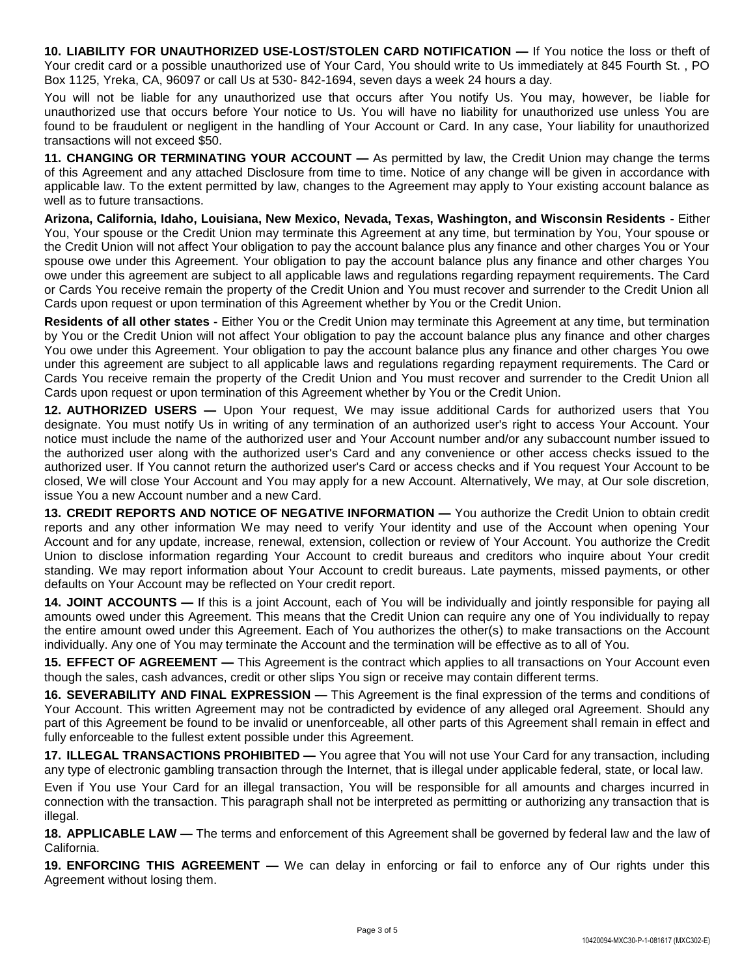**10. LIABILITY FOR UNAUTHORIZED USE-LOST/STOLEN CARD NOTIFICATION —** If You notice the loss or theft of Your credit card or a possible unauthorized use of Your Card, You should write to Us immediately at 845 Fourth St. , PO Box 1125, Yreka, CA, 96097 or call Us at 530- 842-1694, seven days a week 24 hours a day.

You will not be liable for any unauthorized use that occurs after You notify Us. You may, however, be liable for unauthorized use that occurs before Your notice to Us. You will have no liability for unauthorized use unless You are found to be fraudulent or negligent in the handling of Your Account or Card. In any case, Your liability for unauthorized transactions will not exceed \$50.

**11. CHANGING OR TERMINATING YOUR ACCOUNT —** As permitted by law, the Credit Union may change the terms of this Agreement and any attached Disclosure from time to time. Notice of any change will be given in accordance with applicable law. To the extent permitted by law, changes to the Agreement may apply to Your existing account balance as well as to future transactions.

**Arizona, California, Idaho, Louisiana, New Mexico, Nevada, Texas, Washington, and Wisconsin Residents -** Either You, Your spouse or the Credit Union may terminate this Agreement at any time, but termination by You, Your spouse or the Credit Union will not affect Your obligation to pay the account balance plus any finance and other charges You or Your spouse owe under this Agreement. Your obligation to pay the account balance plus any finance and other charges You owe under this agreement are subject to all applicable laws and regulations regarding repayment requirements. The Card or Cards You receive remain the property of the Credit Union and You must recover and surrender to the Credit Union all Cards upon request or upon termination of this Agreement whether by You or the Credit Union.

**Residents of all other states -** Either You or the Credit Union may terminate this Agreement at any time, but termination by You or the Credit Union will not affect Your obligation to pay the account balance plus any finance and other charges You owe under this Agreement. Your obligation to pay the account balance plus any finance and other charges You owe under this agreement are subject to all applicable laws and regulations regarding repayment requirements. The Card or Cards You receive remain the property of the Credit Union and You must recover and surrender to the Credit Union all Cards upon request or upon termination of this Agreement whether by You or the Credit Union.

**12. AUTHORIZED USERS —** Upon Your request, We may issue additional Cards for authorized users that You designate. You must notify Us in writing of any termination of an authorized user's right to access Your Account. Your notice must include the name of the authorized user and Your Account number and/or any subaccount number issued to the authorized user along with the authorized user's Card and any convenience or other access checks issued to the authorized user. If You cannot return the authorized user's Card or access checks and if You request Your Account to be closed, We will close Your Account and You may apply for a new Account. Alternatively, We may, at Our sole discretion, issue You a new Account number and a new Card.

**13. CREDIT REPORTS AND NOTICE OF NEGATIVE INFORMATION —** You authorize the Credit Union to obtain credit reports and any other information We may need to verify Your identity and use of the Account when opening Your Account and for any update, increase, renewal, extension, collection or review of Your Account. You authorize the Credit Union to disclose information regarding Your Account to credit bureaus and creditors who inquire about Your credit standing. We may report information about Your Account to credit bureaus. Late payments, missed payments, or other defaults on Your Account may be reflected on Your credit report.

**14. JOINT ACCOUNTS —** If this is a joint Account, each of You will be individually and jointly responsible for paying all amounts owed under this Agreement. This means that the Credit Union can require any one of You individually to repay the entire amount owed under this Agreement. Each of You authorizes the other(s) to make transactions on the Account individually. Any one of You may terminate the Account and the termination will be effective as to all of You.

**15. EFFECT OF AGREEMENT —** This Agreement is the contract which applies to all transactions on Your Account even though the sales, cash advances, credit or other slips You sign or receive may contain different terms.

**16. SEVERABILITY AND FINAL EXPRESSION —** This Agreement is the final expression of the terms and conditions of Your Account. This written Agreement may not be contradicted by evidence of any alleged oral Agreement. Should any part of this Agreement be found to be invalid or unenforceable, all other parts of this Agreement shall remain in effect and fully enforceable to the fullest extent possible under this Agreement.

**17. ILLEGAL TRANSACTIONS PROHIBITED —** You agree that You will not use Your Card for any transaction, including any type of electronic gambling transaction through the Internet, that is illegal under applicable federal, state, or local law.

Even if You use Your Card for an illegal transaction, You will be responsible for all amounts and charges incurred in connection with the transaction. This paragraph shall not be interpreted as permitting or authorizing any transaction that is illegal.

**18. APPLICABLE LAW —** The terms and enforcement of this Agreement shall be governed by federal law and the law of California.

**19. ENFORCING THIS AGREEMENT —** We can delay in enforcing or fail to enforce any of Our rights under this Agreement without losing them.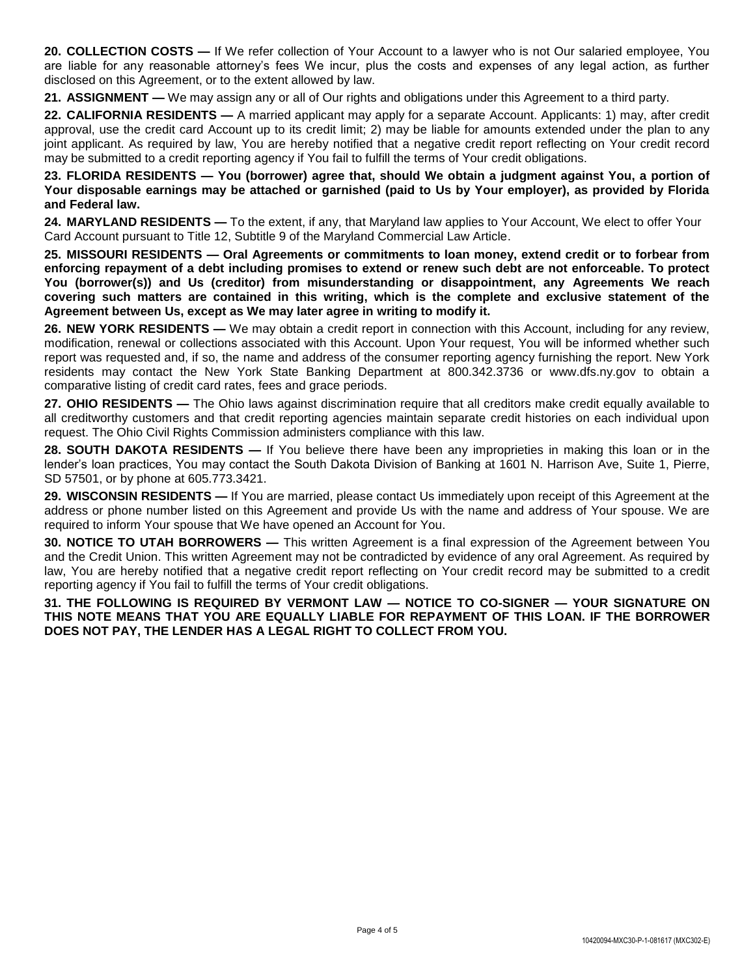**20. COLLECTION COSTS —** If We refer collection of Your Account to a lawyer who is not Our salaried employee, You are liable for any reasonable attorney's fees We incur, plus the costs and expenses of any legal action, as further disclosed on this Agreement, or to the extent allowed by law.

**21. ASSIGNMENT —** We may assign any or all of Our rights and obligations under this Agreement to a third party.

**22. CALIFORNIA RESIDENTS —** A married applicant may apply for a separate Account. Applicants: 1) may, after credit approval, use the credit card Account up to its credit limit; 2) may be liable for amounts extended under the plan to any joint applicant. As required by law, You are hereby notified that a negative credit report reflecting on Your credit record may be submitted to a credit reporting agency if You fail to fulfill the terms of Your credit obligations.

**23. FLORIDA RESIDENTS — You (borrower) agree that, should We obtain a judgment against You, a portion of Your disposable earnings may be attached or garnished (paid to Us by Your employer), as provided by Florida and Federal law.**

**24. MARYLAND RESIDENTS —** To the extent, if any, that Maryland law applies to Your Account, We elect to offer Your Card Account pursuant to Title 12, Subtitle 9 of the Maryland Commercial Law Article.

**25. MISSOURI RESIDENTS — Oral Agreements or commitments to loan money, extend credit or to forbear from enforcing repayment of a debt including promises to extend or renew such debt are not enforceable. To protect You (borrower(s)) and Us (creditor) from misunderstanding or disappointment, any Agreements We reach covering such matters are contained in this writing, which is the complete and exclusive statement of the Agreement between Us, except as We may later agree in writing to modify it.** 

**26. NEW YORK RESIDENTS —** We may obtain a credit report in connection with this Account, including for any review, modification, renewal or collections associated with this Account. Upon Your request, You will be informed whether such report was requested and, if so, the name and address of the consumer reporting agency furnishing the report. New York residents may contact the New York State Banking Department at 800.342.3736 or www.dfs.ny.gov to obtain a comparative listing of credit card rates, fees and grace periods.

27. OHIO RESIDENTS — The Ohio laws against discrimination require that all creditors make credit equally available to all creditworthy customers and that credit reporting agencies maintain separate credit histories on each individual upon request. The Ohio Civil Rights Commission administers compliance with this law.

**28. SOUTH DAKOTA RESIDENTS —** If You believe there have been any improprieties in making this loan or in the lender's loan practices, You may contact the South Dakota Division of Banking at 1601 N. Harrison Ave, Suite 1, Pierre, SD 57501, or by phone at 605.773.3421.

**29. WISCONSIN RESIDENTS —** If You are married, please contact Us immediately upon receipt of this Agreement at the address or phone number listed on this Agreement and provide Us with the name and address of Your spouse. We are required to inform Your spouse that We have opened an Account for You.

**30. NOTICE TO UTAH BORROWERS —** This written Agreement is a final expression of the Agreement between You and the Credit Union. This written Agreement may not be contradicted by evidence of any oral Agreement. As required by law, You are hereby notified that a negative credit report reflecting on Your credit record may be submitted to a credit reporting agency if You fail to fulfill the terms of Your credit obligations.

**31. THE FOLLOWING IS REQUIRED BY VERMONT LAW — NOTICE TO CO-SIGNER — YOUR SIGNATURE ON THIS NOTE MEANS THAT YOU ARE EQUALLY LIABLE FOR REPAYMENT OF THIS LOAN. IF THE BORROWER DOES NOT PAY, THE LENDER HAS A LEGAL RIGHT TO COLLECT FROM YOU.**